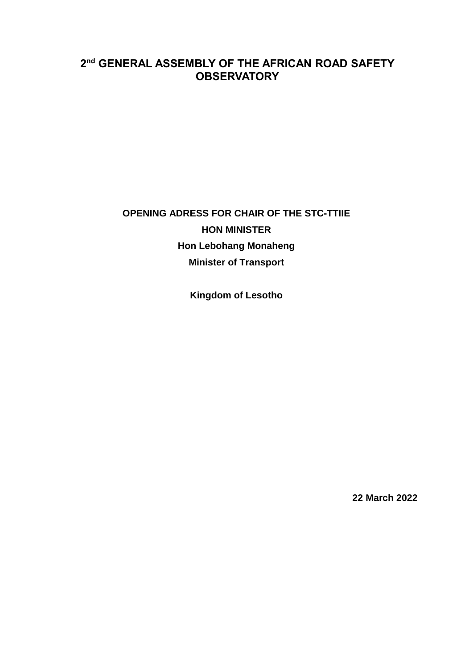## 2<sup>nd</sup> GENERAL ASSEMBLY OF THE AFRICAN ROAD SAFETY **OBSERVATORY**

## OPENING ADRESS FOR CHAIR OF THE STC-TTIIE **HON MINISTER Hon Lebohang Monaheng Minister of Transport**

**Kingdom of Lesotho** 

22 March 2022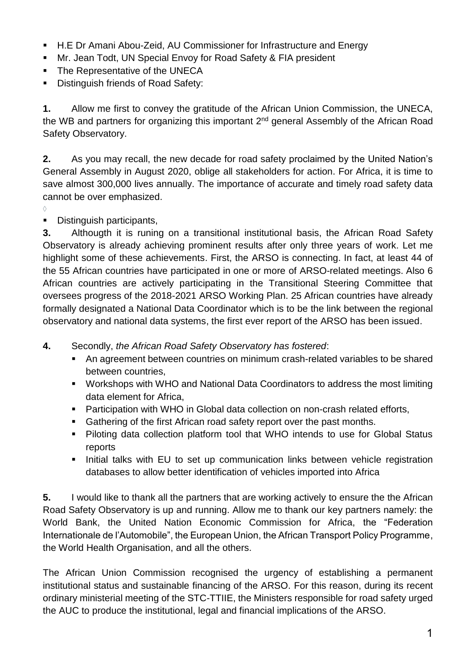- H.E Dr Amani Abou-Zeid, AU Commissioner for Infrastructure and Energy
- Mr. Jean Todt, UN Special Envoy for Road Safety & FIA president
- The Representative of the UNECA
- **Distinguish friends of Road Safety:**

**1.** Allow me first to convey the gratitude of the African Union Commission, the UNECA, the WB and partners for organizing this important 2<sup>nd</sup> general Assembly of the African Road Safety Observatory.

**2.** As you may recall, the new decade for road safety proclaimed by the United Nation's General Assembly in August 2020, oblige all stakeholders for action. For Africa, it is time to save almost 300,000 lives annually. The importance of accurate and timely road safety data cannot be over emphasized.

- $\Diamond$
- Distinguish participants,

**3.** Althougth it is runing on a transitional institutional basis, the African Road Safety Observatory is already achieving prominent results after only three years of work. Let me highlight some of these achievements. First, the ARSO is connecting. In fact, at least 44 of the 55 African countries have participated in one or more of ARSO-related meetings. Also 6 African countries are actively participating in the Transitional Steering Committee that oversees progress of the 2018-2021 ARSO Working Plan. 25 African countries have already formally designated a National Data Coordinator which is to be the link between the regional observatory and national data systems, the first ever report of the ARSO has been issued.

**4.** Secondly, *the African Road Safety Observatory has fostered*:

- An agreement between countries on minimum crash-related variables to be shared between countries,
- Workshops with WHO and National Data Coordinators to address the most limiting data element for Africa,
- Participation with WHO in Global data collection on non-crash related efforts,
- Gathering of the first African road safety report over the past months.
- Piloting data collection platform tool that WHO intends to use for Global Status reports
- Initial talks with EU to set up communication links between vehicle registration databases to allow better identification of vehicles imported into Africa

**5.** I would like to thank all the partners that are working actively to ensure the the African Road Safety Observatory is up and running. Allow me to thank our key partners namely: the World Bank, the United Nation Economic Commission for Africa, the "Federation Internationale de l'Automobile", the European Union, the African Transport Policy Programme, the World Health Organisation, and all the others.

The African Union Commission recognised the urgency of establishing a permanent institutional status and sustainable financing of the ARSO. For this reason, during its recent ordinary ministerial meeting of the STC-TTIIE, the Ministers responsible for road safety urged the AUC to produce the institutional, legal and financial implications of the ARSO.